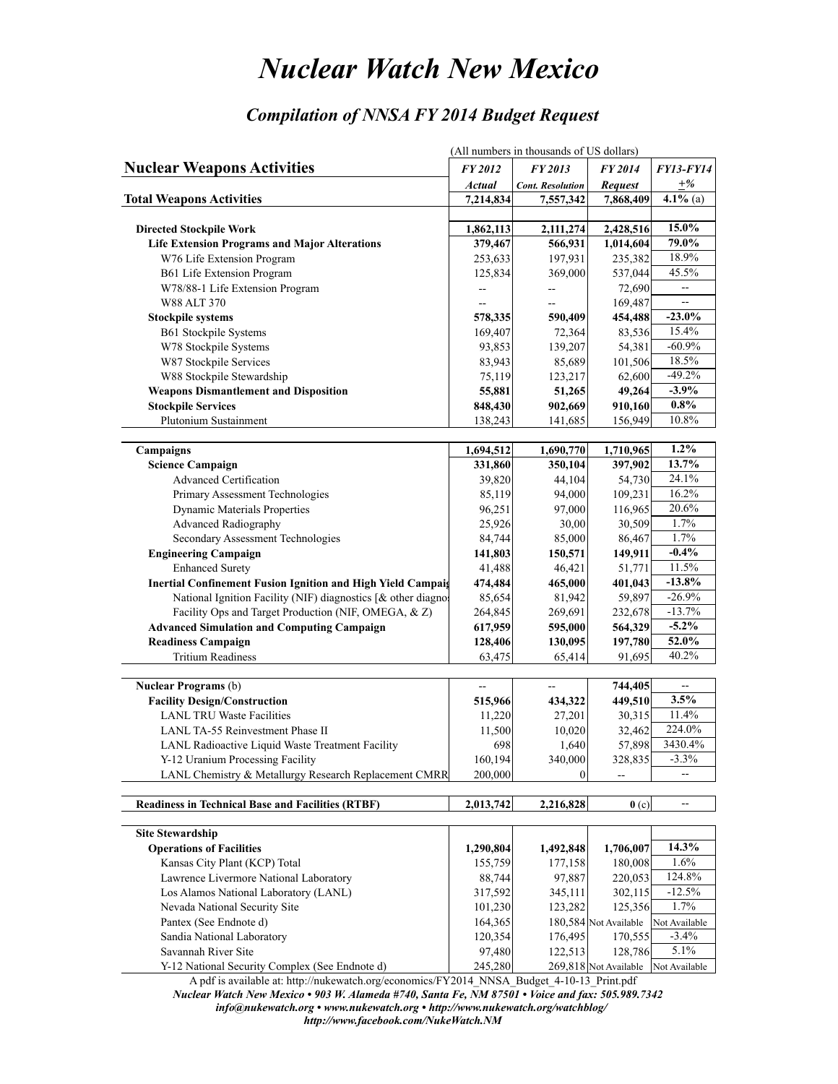## *Nuclear Watch New Mexico*

## *Compilation of NNSA FY 2014 Budget Request*

|                                                                    | (All numbers in thousands of US dollars) |                         |                                     |                  |  |  |  |
|--------------------------------------------------------------------|------------------------------------------|-------------------------|-------------------------------------|------------------|--|--|--|
| <b>Nuclear Weapons Activities</b>                                  | FY 2012                                  | FY 2013                 | <b>FY2014</b>                       | <b>FY13-FY14</b> |  |  |  |
|                                                                    | <b>Actual</b>                            | <b>Cont. Resolution</b> | <b>Request</b>                      | $+%$             |  |  |  |
| <b>Total Weapons Activities</b>                                    | 7,214,834                                | 7,557,342               | 7,868,409                           | 4.1% (a)         |  |  |  |
|                                                                    |                                          |                         |                                     |                  |  |  |  |
| <b>Directed Stockpile Work</b>                                     | 1,862,113                                | 2,111,274               | 2,428,516                           | 15.0%            |  |  |  |
| <b>Life Extension Programs and Major Alterations</b>               | 379,467                                  | 566,931                 | 1,014,604                           | 79.0%            |  |  |  |
| W76 Life Extension Program                                         | 253,633                                  | 197,931                 | 235,382                             | 18.9%            |  |  |  |
| B61 Life Extension Program                                         | 125,834                                  | 369,000                 | 537,044                             | 45.5%            |  |  |  |
| W78/88-1 Life Extension Program                                    | ÷-                                       |                         | 72,690                              | --               |  |  |  |
| W88 ALT 370                                                        | --                                       |                         | 169,487                             | --               |  |  |  |
| <b>Stockpile systems</b>                                           | 578,335                                  | 590,409                 | 454,488                             | $-23.0%$         |  |  |  |
| <b>B61 Stockpile Systems</b>                                       | 169,407                                  | 72,364                  | 83,536                              | 15.4%            |  |  |  |
| W78 Stockpile Systems                                              | 93,853                                   | 139,207                 | 54,381                              | $-60.9%$         |  |  |  |
| W87 Stockpile Services                                             | 83,943                                   | 85,689                  | 101,506                             | 18.5%            |  |  |  |
| W88 Stockpile Stewardship                                          | 75,119                                   | 123,217                 | 62,600                              | $-49.2%$         |  |  |  |
| <b>Weapons Dismantlement and Disposition</b>                       | 55,881                                   | 51,265                  | 49,264                              | $-3.9%$          |  |  |  |
| <b>Stockpile Services</b>                                          | 848,430                                  | 902,669                 | 910,160                             | $0.8\%$          |  |  |  |
| <b>Plutonium Sustainment</b>                                       | 138,243                                  | 141,685                 | 156,949                             | 10.8%            |  |  |  |
|                                                                    |                                          |                         |                                     |                  |  |  |  |
| Campaigns                                                          | 1,694,512                                | 1,690,770               | 1,710,965                           | $1.2\%$          |  |  |  |
| <b>Science Campaign</b>                                            | 331,860                                  | 350,104                 | 397,902                             | 13.7%            |  |  |  |
| Advanced Certification                                             | 39,820                                   | 44,104                  | 54,730                              | 24.1%            |  |  |  |
| Primary Assessment Technologies                                    | 85,119                                   | 94,000                  | 109,231                             | 16.2%            |  |  |  |
| <b>Dynamic Materials Properties</b>                                | 96,251                                   | 97,000                  | 116,965                             | 20.6%            |  |  |  |
| <b>Advanced Radiography</b>                                        | 25,926                                   | 30,00                   | 30,509                              | 1.7%             |  |  |  |
| Secondary Assessment Technologies                                  | 84,744                                   | 85,000                  | 86,467                              | 1.7%             |  |  |  |
| <b>Engineering Campaign</b>                                        | 141,803                                  | 150,571                 | 149,911                             | $-0.4%$          |  |  |  |
| <b>Enhanced Surety</b>                                             | 41,488                                   | 46,421                  | 51,771                              | 11.5%            |  |  |  |
| <b>Inertial Confinement Fusion Ignition and High Yield Campaig</b> | 474,484                                  | 465,000                 | 401,043                             | $-13.8%$         |  |  |  |
| National Ignition Facility (NIF) diagnostics [& other diagnos      | 85,654                                   | 81,942                  | 59,897                              | $-26.9%$         |  |  |  |
| Facility Ops and Target Production (NIF, OMEGA, & Z)               | 264,845                                  | 269,691                 | 232,678                             | $-13.7%$         |  |  |  |
| <b>Advanced Simulation and Computing Campaign</b>                  | 617,959                                  | 595,000                 | 564,329                             | $-5.2\%$         |  |  |  |
| <b>Readiness Campaign</b>                                          | 128,406                                  | 130,095                 | 197,780                             | 52.0%            |  |  |  |
| <b>Tritium Readiness</b>                                           | 63,475                                   | 65,414                  | 91,695                              | 40.2%            |  |  |  |
|                                                                    |                                          |                         |                                     |                  |  |  |  |
| <b>Nuclear Programs</b> (b)                                        | --                                       |                         | 744,405                             | --               |  |  |  |
| <b>Facility Design/Construction</b>                                | 515,966                                  | 434,322                 | 449,510                             | 3.5%             |  |  |  |
| <b>LANL TRU Waste Facilities</b>                                   | 11,220                                   | 27,201                  | 30,315                              | 11.4%            |  |  |  |
| LANL TA-55 Reinvestment Phase II                                   | 11,500                                   | 10,020                  | 32,462                              | 224.0%           |  |  |  |
| LANL Radioactive Liquid Waste Treatment Facility                   | 698                                      | 1,640                   | 57,898                              | 3430.4%          |  |  |  |
| Y-12 Uranium Processing Facility                                   | 160,194                                  | 340,000                 | 328,835                             | $-3.3%$          |  |  |  |
| LANL Chemistry & Metallurgy Research Replacement CMRR              | 200,000                                  | $\theta$                |                                     |                  |  |  |  |
|                                                                    |                                          |                         |                                     |                  |  |  |  |
| <b>Readiness in Technical Base and Facilities (RTBF)</b>           | 2,013,742                                | 2,216,828               | $\mathbf{0}$ (c)                    | --               |  |  |  |
|                                                                    |                                          |                         |                                     |                  |  |  |  |
| <b>Site Stewardship</b>                                            |                                          |                         |                                     |                  |  |  |  |
| <b>Operations of Facilities</b>                                    | 1,290,804                                | 1,492,848               | 1,706,007                           | 14.3%            |  |  |  |
| Kansas City Plant (KCP) Total                                      | 155,759                                  | 177,158                 | 180,008                             | 1.6%             |  |  |  |
| Lawrence Livermore National Laboratory                             | 88,744                                   | 97,887                  | 220,053                             | 124.8%           |  |  |  |
| Los Alamos National Laboratory (LANL)                              | 317,592                                  | 345,111                 | 302,115                             | $-12.5%$         |  |  |  |
| Nevada National Security Site                                      | 101,230                                  | 123,282                 | 125,356                             | 1.7%             |  |  |  |
| Pantex (See Endnote d)                                             | 164,365                                  |                         | 180,584 Not Available               | Not Available    |  |  |  |
| Sandia National Laboratory                                         | 120,354                                  | 176,495                 | 170,555                             | $-3.4%$          |  |  |  |
| Savannah River Site                                                | 97,480                                   | 122,513                 | 128,786                             | 5.1%             |  |  |  |
| Y-12 National Security Complex (See Endnote d)                     | 245,280                                  |                         | 269,818 Not Available Not Available |                  |  |  |  |

 A pdf is available at: http://nukewatch.org/economics/FY2014\_NNSA\_Budget\_4-10-13\_Print.pdf *Nuclear Watch New Mexico • 903 W. Alameda #740, Santa Fe, NM 87501 • Voice and fax: 505.989.7342*

 *info@nukewatch.org • www.nukewatch.org • http://www.nukewatch.org/watchblog/*

 *http://www.facebook.com/NukeWatch.NM*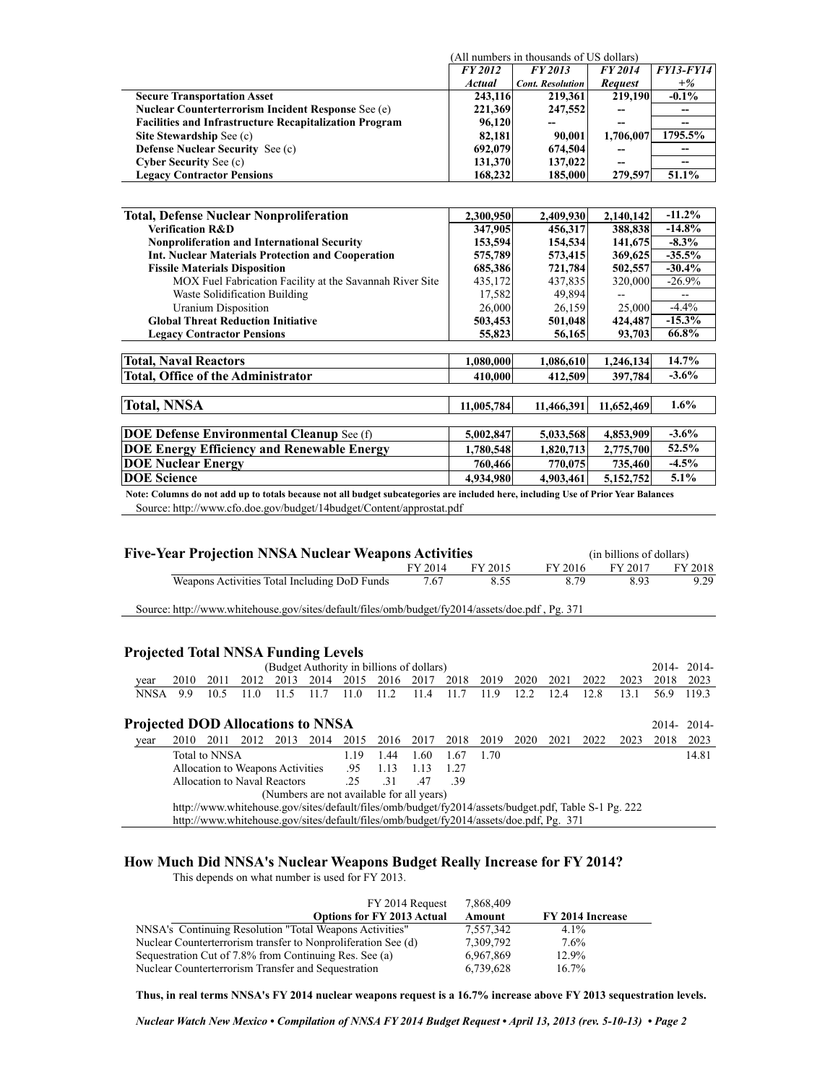(All numbers in thousands of US dollars)

|                                                               | <b>FY2012</b> | FY 2013                 | FY 2014        | <b>FY13-FY14</b> |
|---------------------------------------------------------------|---------------|-------------------------|----------------|------------------|
|                                                               | <b>Actual</b> | <b>Cont. Resolution</b> | <b>Request</b> | $+%$             |
| <b>Secure Transportation Asset</b>                            | 243,116       | 219,361                 | 219,190        | $-0.1\%$         |
| <b>Nuclear Counterterrorism Incident Response See (e)</b>     | 221,369       | 247,552                 | --             |                  |
| <b>Facilities and Infrastructure Recapitalization Program</b> | 96,120        |                         | --             |                  |
| Site Stewardship See (c)                                      | 82.181        | 90.001                  | 1,706,007      | 1795.5%          |
| <b>Defense Nuclear Security See (c)</b>                       | 692,079       | 674,504                 | --             |                  |
| <b>Cyber Security See (c)</b>                                 | 131,370       | 137,022                 | --             |                  |
| <b>Legacy Contractor Pensions</b>                             | 168,232       | 185,000                 | 279,597        | 51.1%            |

| <b>Total, Defense Nuclear Nonproliferation</b>                                                                                     | 2,300,950  | 2,409,930  | 2,140,142  | $-11.2%$ |
|------------------------------------------------------------------------------------------------------------------------------------|------------|------------|------------|----------|
| <b>Verification R&amp;D</b>                                                                                                        | 347,905    | 456,317    | 388,838    | $-14.8%$ |
| <b>Nonproliferation and International Security</b>                                                                                 | 153,594    | 154,534    | 141,675    | $-8.3\%$ |
| Int. Nuclear Materials Protection and Cooperation                                                                                  | 575,789    | 573,415    | 369,625    | $-35.5%$ |
| <b>Fissile Materials Disposition</b>                                                                                               | 685,386    | 721,784    | 502,557    | $-30.4%$ |
| MOX Fuel Fabrication Facility at the Savannah River Site                                                                           | 435,172    | 437,835    | 320,000    | $-26.9%$ |
| Waste Solidification Building                                                                                                      | 17,582     | 49,894     |            | $-$      |
| Uranium Disposition                                                                                                                | 26,000     | 26,159     | 25,000     | $-4.4%$  |
| <b>Global Threat Reduction Initiative</b>                                                                                          | 503,453    | 501,048    | 424,487    | $-15.3%$ |
| <b>Legacy Contractor Pensions</b>                                                                                                  | 55,823     | 56,165     | 93,703     | 66.8%    |
|                                                                                                                                    |            |            |            |          |
| <b>Total, Naval Reactors</b>                                                                                                       | 1,080,000  | 1,086,610  | 1,246,134  | 14.7%    |
| <b>Total, Office of the Administrator</b>                                                                                          | 410,000    | 412,509    | 397,784    | $-3.6%$  |
|                                                                                                                                    |            |            |            |          |
| <b>Total, NNSA</b>                                                                                                                 | 11,005,784 | 11,466,391 | 11,652,469 | $1.6\%$  |
|                                                                                                                                    |            |            |            |          |
| <b>DOE Defense Environmental Cleanup</b> See (f)                                                                                   | 5,002,847  | 5,033,568  | 4,853,909  | $-3.6%$  |
| <b>DOE Energy Efficiency and Renewable Energy</b>                                                                                  | 1,780,548  | 1,820,713  | 2,775,700  | 52.5%    |
| <b>DOE Nuclear Energy</b>                                                                                                          | 760,466    | 770,075    | 735,460    | $-4.5%$  |
| <b>DOE</b> Science                                                                                                                 | 4.934.980  | 4,903,461  | 5,152,752  | $5.1\%$  |
| Note: Columns do not add up to totals because not all budget subcategories are included here, including Use of Prior Year Balances |            |            |            |          |

Source: http://www.cfo.doe.gov/budget/14budget/Content/approstat.pdf

| <b>Five-Year Projection NNSA Nuclear Weapons Activities</b> |                                  |                      |                                              |      |      |      |      |                                           |      |                                                                                                 |      |         |      | (in billions of dollars) |      |               |
|-------------------------------------------------------------|----------------------------------|----------------------|----------------------------------------------|------|------|------|------|-------------------------------------------|------|-------------------------------------------------------------------------------------------------|------|---------|------|--------------------------|------|---------------|
|                                                             |                                  |                      |                                              |      |      |      |      | FY 2014                                   |      | FY 2015                                                                                         |      | FY 2016 |      | FY 2017                  |      | FY 2018       |
|                                                             |                                  |                      | Weapons Activities Total Including DoD Funds |      |      |      |      | 7.67                                      |      | 8.55                                                                                            |      |         | 8.79 | 8.93                     |      | 9.29          |
|                                                             |                                  |                      |                                              |      |      |      |      |                                           |      | Source: http://www.whitehouse.gov/sites/default/files/omb/budget/fy2014/assets/doe.pdf, Pg. 371 |      |         |      |                          |      |               |
|                                                             |                                  |                      |                                              |      |      |      |      |                                           |      |                                                                                                 |      |         |      |                          |      |               |
| <b>Projected Total NNSA Funding Levels</b>                  |                                  |                      |                                              |      |      |      |      |                                           |      |                                                                                                 |      |         |      |                          |      |               |
|                                                             |                                  |                      |                                              |      |      |      |      | (Budget Authority in billions of dollars) |      |                                                                                                 |      |         |      |                          |      | $2014 - 2014$ |
| year                                                        | 2010                             | 2011                 | 2012                                         | 2013 | 2014 | 2015 | 2016 | 2017                                      | 2018 | 2019                                                                                            | 2020 | 2021    | 2022 | 2023                     | 2018 | 2023          |
| <b>NNSA</b>                                                 | 9.9                              | 10.5                 | 11.0                                         | 11.5 | 11.7 | 11.0 | 112  | 11.4                                      | 11.7 | 11.9                                                                                            | 12.2 | 12.4    | 12.8 | 13.1                     | 56.9 | 119.3         |
| <b>Projected DOD Allocations to NNSA</b>                    |                                  |                      |                                              |      |      |      |      |                                           |      |                                                                                                 |      |         |      |                          |      | 2014-2014-    |
| year                                                        | 2010                             | 2011                 | 2012                                         | 2013 | 2014 | 2015 | 2016 | 2017                                      | 2018 | 2019                                                                                            | 2020 | 2021    | 2022 | 2023                     | 2018 | 2023          |
|                                                             |                                  | <b>Total to NNSA</b> |                                              |      |      | 1.19 | 1.44 | 1.60                                      | 1.67 | 1.70                                                                                            |      |         |      |                          |      | 14.81         |
|                                                             | Allocation to Weapons Activities |                      |                                              |      | .95  | 1.13 | 1.13 | 1.27                                      |      |                                                                                                 |      |         |      |                          |      |               |
|                                                             |                                  |                      | Allocation to Naval Reactors                 |      |      | .25  | .31  | .47                                       | -39  |                                                                                                 |      |         |      |                          |      |               |
|                                                             |                                  |                      |                                              |      |      |      |      | (Numbers are not available for all years) |      |                                                                                                 |      |         |      |                          |      |               |

http://www.whitehouse.gov/sites/default/files/omb/budget/fy2014/assets/budget.pdf, Table S-1 Pg. 222

http://www.whitehouse.gov/sites/default/files/omb/budget/fy2014/assets/doe.pdf, Pg. 371

## **How Much Did NNSA's Nuclear Weapons Budget Really Increase for FY 2014?** This depends on what number is used for FY 2013.

FY 2014 Request 7,868,409 **Options for FY 2013 Actual Amount FY 2014 Increase**<br>I Weapons Activities" 7.557.342 4.1% NNSA's Continuing Resolution "Total Weapons Activities" 7,557,342 4.1%<br>Nuclear Counterterrorism transfer to Nonproliferation See (d) 7,309,792 7.6% Nuclear Counterterrorism transfer to Nonproliferation See (d)  $\begin{array}{cc} 7,309,792 & 7.6\% \\ 7,309,792 & 6.967,869 & 12.9\% \end{array}$ Sequestration Cut of 7.8% from Continuing Res. See (a) Nuclear Counterterrorism Transfer and Sequestration 6,739,628 16.7%

**Thus, in real terms NNSA's FY 2014 nuclear weapons request is a 16.7% increase above FY 2013 sequestration levels.**